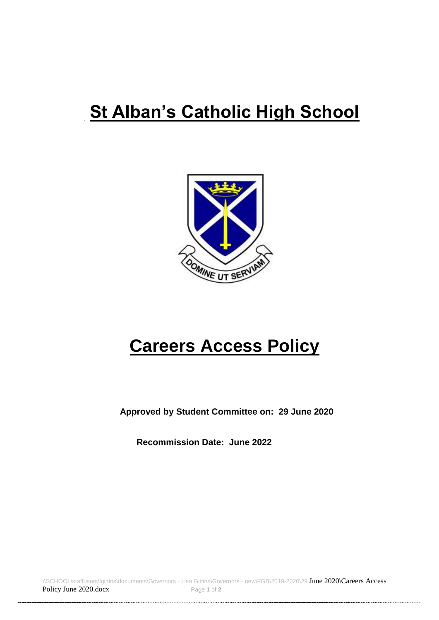# **St Alban's Catholic High School**



# **Careers Access Policy**

 **Approved by Student Committee on: 29 June 2020**

**Recommission Date: June 2022**

\\SCHOOL\staffusers\lgittins\documents\Governors - Lisa Gittins\Governors - new\FGB\2019-2020\29 June 2020\Careers Access Policy June 2020.docx Page 1 of 2